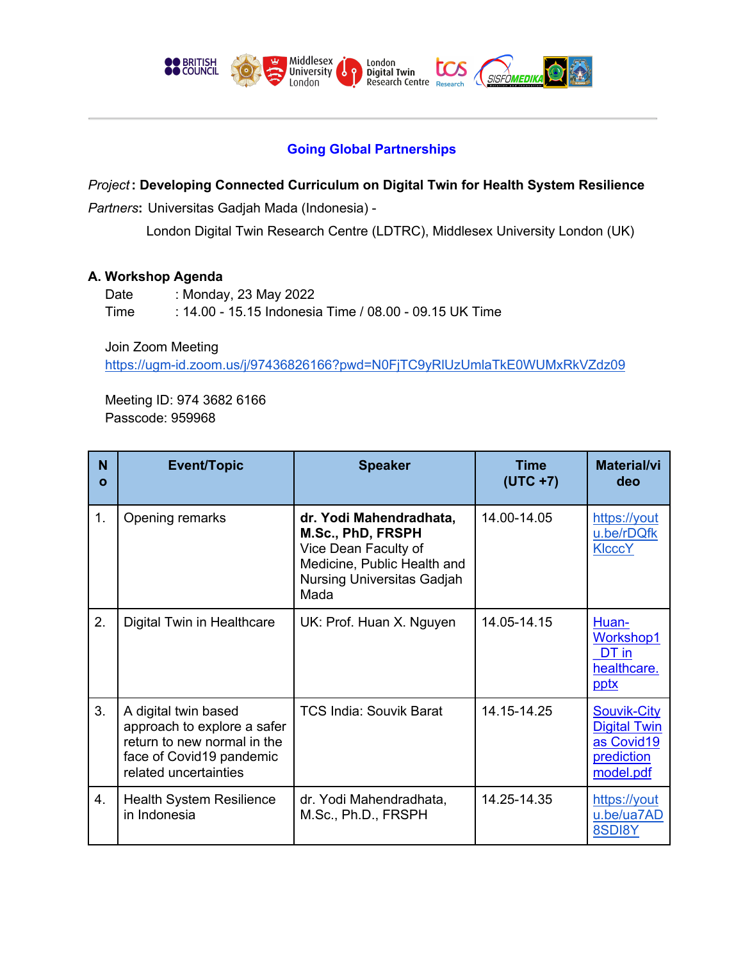

# **Going Global Partnerships**

*Project***: Developing Connected Curriculum on Digital Twin for Health System Resilience**

*Partners***:** Universitas Gadjah Mada (Indonesia) -

London Digital Twin Research Centre (LDTRC), Middlesex University London (UK)

## **A. Workshop Agenda**

Date : Monday, 23 May 2022 Time : 14.00 - 15.15 Indonesia Time / 08.00 - 09.15 UK Time

Join Zoom Meeting https://ugm-id.zoom.us/j/97436826166?pwd=N0FjTC9yRlUzUmlaTkE0WUMxRkVZdz09

Meeting ID: 974 3682 6166 Passcode: 959968

| N<br>$\mathbf{o}$ | <b>Event/Topic</b>                                                                                                                      | <b>Speaker</b>                                                                                                                                   | <b>Time</b><br>$(UTC + 7)$ | <b>Material/vi</b><br>deo                                                   |
|-------------------|-----------------------------------------------------------------------------------------------------------------------------------------|--------------------------------------------------------------------------------------------------------------------------------------------------|----------------------------|-----------------------------------------------------------------------------|
| 1.                | Opening remarks                                                                                                                         | dr. Yodi Mahendradhata,<br>M.Sc., PhD, FRSPH<br>Vice Dean Faculty of<br>Medicine, Public Health and<br><b>Nursing Universitas Gadjah</b><br>Mada | 14.00-14.05                | https://yout<br>u.be/rDQfk<br><b>KIcccY</b>                                 |
| 2.                | Digital Twin in Healthcare                                                                                                              | UK: Prof. Huan X. Nguyen                                                                                                                         | 14.05-14.15                | Huan-<br>Workshop1<br>DT in<br>healthcare.<br>pptx                          |
| 3.                | A digital twin based<br>approach to explore a safer<br>return to new normal in the<br>face of Covid19 pandemic<br>related uncertainties | <b>TCS India: Souvik Barat</b>                                                                                                                   | 14.15-14.25                | Souvik-City<br><b>Digital Twin</b><br>as Covid19<br>prediction<br>model.pdf |
| 4.                | <b>Health System Resilience</b><br>in Indonesia                                                                                         | dr. Yodi Mahendradhata,<br>M.Sc., Ph.D., FRSPH                                                                                                   | 14.25-14.35                | https://yout<br>u.be/ua7AD<br>8SDI8Y                                        |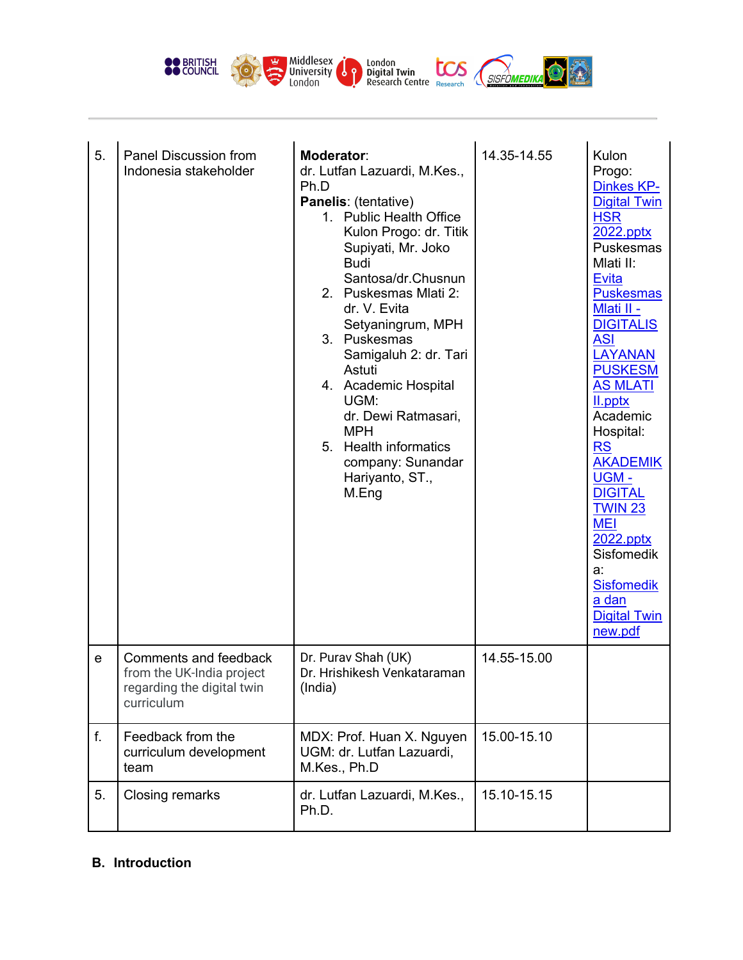

| 5.          | Panel Discussion from<br>Indonesia stakeholder                                                 | <b>Moderator:</b><br>dr. Lutfan Lazuardi, M.Kes.,<br>Ph.D<br>Panelis: (tentative)<br>1. Public Health Office<br>Kulon Progo: dr. Titik<br>Supiyati, Mr. Joko<br><b>Budi</b><br>Santosa/dr.Chusnun<br>2. Puskesmas Mlati 2:<br>dr. V. Evita<br>Setyaningrum, MPH<br>3. Puskesmas<br>Samigaluh 2: dr. Tari<br>Astuti<br>4. Academic Hospital<br>UGM:<br>dr. Dewi Ratmasari,<br><b>MPH</b><br><b>Health informatics</b><br>5.<br>company: Sunandar<br>Hariyanto, ST.,<br>M.Eng | 14.35-14.55 | Kulon<br>Progo:<br>Dinkes KP-<br><b>Digital Twin</b><br><b>HSR</b><br>2022.pptx<br>Puskesmas<br>Mlati II:<br><b>Evita</b><br><b>Puskesmas</b><br>Mlati II -<br><b>DIGITALIS</b><br><b>ASI</b><br><b>LAYANAN</b><br><b>PUSKESM</b><br><b>AS MLATI</b><br>II.pptx<br>Academic<br>Hospital:<br><b>RS</b><br><b>AKADEMIK</b><br><b>UGM-</b><br><b>DIGITAL</b><br>TWIN <sub>23</sub><br><b>MEI</b><br>2022.pptx<br><b>Sisfomedik</b><br>a:<br><b>Sisfomedik</b><br>a dan<br><b>Digital Twin</b><br>new.pdf |
|-------------|------------------------------------------------------------------------------------------------|-----------------------------------------------------------------------------------------------------------------------------------------------------------------------------------------------------------------------------------------------------------------------------------------------------------------------------------------------------------------------------------------------------------------------------------------------------------------------------|-------------|-------------------------------------------------------------------------------------------------------------------------------------------------------------------------------------------------------------------------------------------------------------------------------------------------------------------------------------------------------------------------------------------------------------------------------------------------------------------------------------------------------|
| $\mathbf e$ | Comments and feedback<br>from the UK-India project<br>regarding the digital twin<br>curriculum | Dr. Purav Shah (UK)<br>Dr. Hrishikesh Venkataraman<br>(India)                                                                                                                                                                                                                                                                                                                                                                                                               | 14.55-15.00 |                                                                                                                                                                                                                                                                                                                                                                                                                                                                                                       |
| f.          | Feedback from the<br>curriculum development<br>team                                            | MDX: Prof. Huan X. Nguyen<br>UGM: dr. Lutfan Lazuardi,<br>M.Kes., Ph.D                                                                                                                                                                                                                                                                                                                                                                                                      | 15.00-15.10 |                                                                                                                                                                                                                                                                                                                                                                                                                                                                                                       |
| 5.          | Closing remarks                                                                                | dr. Lutfan Lazuardi, M.Kes.,<br>Ph.D.                                                                                                                                                                                                                                                                                                                                                                                                                                       | 15.10-15.15 |                                                                                                                                                                                                                                                                                                                                                                                                                                                                                                       |

## **B. Introduction**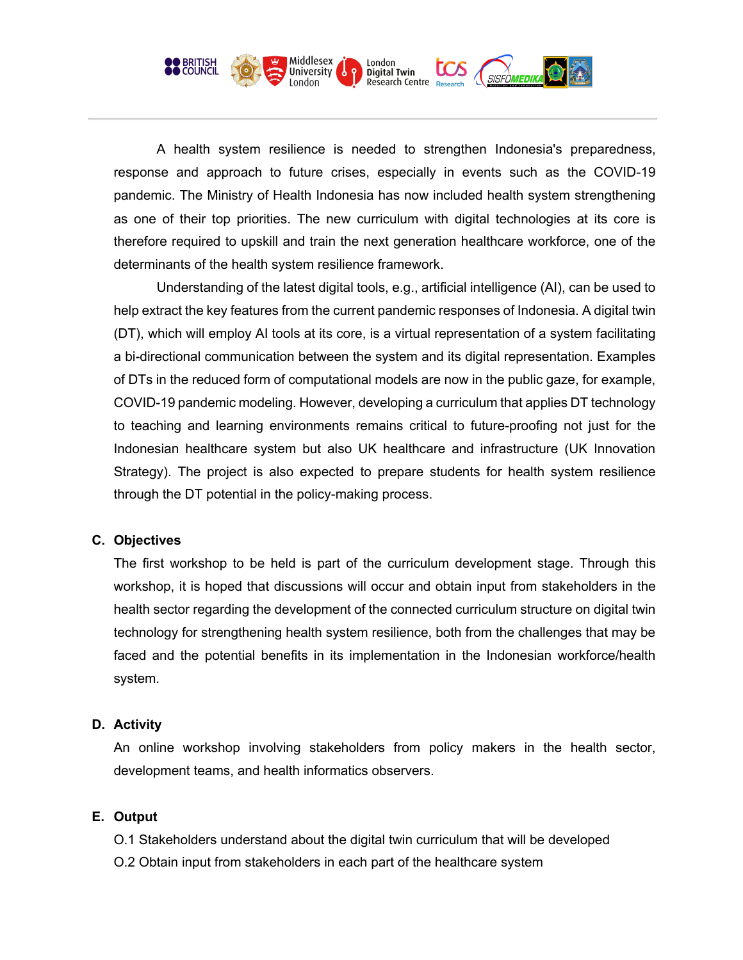

A health system resilience is needed to strengthen Indonesia's preparedness, response and approach to future crises, especially in events such as the COVID-19 pandemic. The Ministry of Health Indonesia has now included health system strengthening as one of their top priorities. The new curriculum with digital technologies at its core is therefore required to upskill and train the next generation healthcare workforce, one of the determinants of the health system resilience framework.

Understanding of the latest digital tools, e.g., artificial intelligence (AI), can be used to help extract the key features from the current pandemic responses of Indonesia. A digital twin (DT), which will employ AI tools at its core, is a virtual representation of a system facilitating a bi-directional communication between the system and its digital representation. Examples of DTs in the reduced form of computational models are now in the public gaze, for example, COVID-19 pandemic modeling. However, developing a curriculum that applies DT technology to teaching and learning environments remains critical to future-proofing not just for the Indonesian healthcare system but also UK healthcare and infrastructure (UK Innovation Strategy). The project is also expected to prepare students for health system resilience through the DT potential in the policy-making process.

#### **C. Objectives**

The first workshop to be held is part of the curriculum development stage. Through this workshop, it is hoped that discussions will occur and obtain input from stakeholders in the health sector regarding the development of the connected curriculum structure on digital twin technology for strengthening health system resilience, both from the challenges that may be faced and the potential benefits in its implementation in the Indonesian workforce/health system.

#### **D. Activity**

An online workshop involving stakeholders from policy makers in the health sector, development teams, and health informatics observers.

# **E. Output**

O.1 Stakeholders understand about the digital twin curriculum that will be developed

O.2 Obtain input from stakeholders in each part of the healthcare system